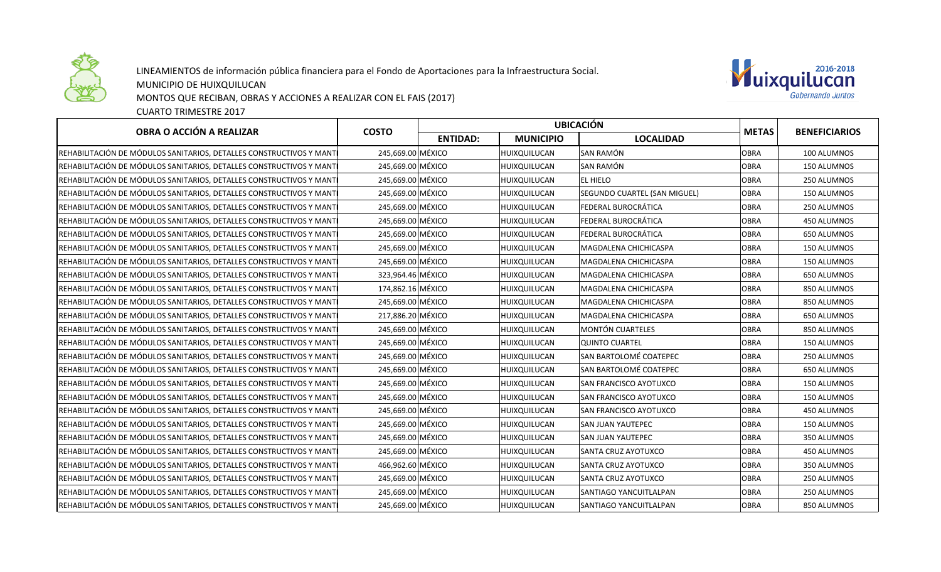

LINEAMIENTOS de información pública financiera para el Fondo de Aportaciones para la Infraestructura Social.

MUNICIPIO DE HUIXQUILUCAN

MONTOS QUE RECIBAN, OBRAS Y ACCIONES A REALIZAR CON EL FAIS (2017)

CUARTO TRIMESTRE 2017



| OBRA O ACCIÓN A REALIZAR                                             | <b>COSTO</b>      | <b>UBICACIÓN</b> |                     |                               |              |                      |
|----------------------------------------------------------------------|-------------------|------------------|---------------------|-------------------------------|--------------|----------------------|
|                                                                      |                   | <b>ENTIDAD:</b>  | <b>MUNICIPIO</b>    | <b>LOCALIDAD</b>              | <b>METAS</b> | <b>BENEFICIARIOS</b> |
| REHABILITACIÓN DE MÓDULOS SANITARIOS, DETALLES CONSTRUCTIVOS Y MANT  | 245,669.00 MÉXICO |                  | <b>HUIXQUILUCAN</b> | <b>SAN RAMÓN</b>              | <b>OBRA</b>  | 100 ALUMNOS          |
| REHABILITACIÓN DE MÓDULOS SANITARIOS, DETALLES CONSTRUCTIVOS Y MANTI | 245,669.00 MÉXICO |                  | HUIXQUILUCAN        | <b>SAN RAMÓN</b>              | <b>OBRA</b>  | 150 ALUMNOS          |
| REHABILITACIÓN DE MÓDULOS SANITARIOS, DETALLES CONSTRUCTIVOS Y MANTI | 245,669.00 MÉXICO |                  | HUIXQUILUCAN        | <b>EL HIELO</b>               | <b>OBRA</b>  | 250 ALUMNOS          |
| REHABILITACIÓN DE MÓDULOS SANITARIOS, DETALLES CONSTRUCTIVOS Y MANTI | 245,669.00 MÉXICO |                  | HUIXQUILUCAN        | SEGUNDO CUARTEL (SAN MIGUEL)  | <b>OBRA</b>  | 150 ALUMNOS          |
| REHABILITACIÓN DE MÓDULOS SANITARIOS, DETALLES CONSTRUCTIVOS Y MANTI | 245,669.00 MÉXICO |                  | HUIXQUILUCAN        | FEDERAL BUROCRÁTICA           | <b>OBRA</b>  | 250 ALUMNOS          |
| REHABILITACIÓN DE MÓDULOS SANITARIOS, DETALLES CONSTRUCTIVOS Y MANTI | 245,669.00 MÉXICO |                  | HUIXQUILUCAN        | FEDERAL BUROCRÁTICA           | <b>OBRA</b>  | 450 ALUMNOS          |
| REHABILITACIÓN DE MÓDULOS SANITARIOS, DETALLES CONSTRUCTIVOS Y MANTI | 245,669.00 MÉXICO |                  | HUIXQUILUCAN        | FEDERAL BUROCRÁTICA           | <b>OBRA</b>  | 650 ALUMNOS          |
| REHABILITACIÓN DE MÓDULOS SANITARIOS, DETALLES CONSTRUCTIVOS Y MANTI | 245,669.00 MÉXICO |                  | HUIXQUILUCAN        | <b>MAGDALENA CHICHICASPA</b>  | <b>OBRA</b>  | 150 ALUMNOS          |
| REHABILITACIÓN DE MÓDULOS SANITARIOS, DETALLES CONSTRUCTIVOS Y MANTI | 245,669.00 MÉXICO |                  | HUIXQUILUCAN        | MAGDALENA CHICHICASPA         | <b>OBRA</b>  | 150 ALUMNOS          |
| REHABILITACIÓN DE MÓDULOS SANITARIOS, DETALLES CONSTRUCTIVOS Y MANTI | 323,964.46 MÉXICO |                  | HUIXQUILUCAN        | MAGDALENA CHICHICASPA         | <b>OBRA</b>  | 650 ALUMNOS          |
| REHABILITACIÓN DE MÓDULOS SANITARIOS, DETALLES CONSTRUCTIVOS Y MANTI | 174,862.16 MÉXICO |                  | HUIXQUILUCAN        | MAGDALENA CHICHICASPA         | <b>OBRA</b>  | 850 ALUMNOS          |
| REHABILITACIÓN DE MÓDULOS SANITARIOS, DETALLES CONSTRUCTIVOS Y MANTI | 245,669.00 MÉXICO |                  | HUIXQUILUCAN        | MAGDALENA CHICHICASPA         | <b>OBRA</b>  | 850 ALUMNOS          |
| REHABILITACIÓN DE MÓDULOS SANITARIOS, DETALLES CONSTRUCTIVOS Y MANTI | 217,886.20 MÉXICO |                  | HUIXQUILUCAN        | MAGDALENA CHICHICASPA         | <b>OBRA</b>  | 650 ALUMNOS          |
| REHABILITACIÓN DE MÓDULOS SANITARIOS, DETALLES CONSTRUCTIVOS Y MANTI | 245,669.00 MÉXICO |                  | HUIXQUILUCAN        | <b>MONTÓN CUARTELES</b>       | <b>OBRA</b>  | 850 ALUMNOS          |
| REHABILITACIÓN DE MÓDULOS SANITARIOS, DETALLES CONSTRUCTIVOS Y MANTI | 245,669.00 MÉXICO |                  | HUIXQUILUCAN        | QUINTO CUARTEL                | <b>OBRA</b>  | 150 ALUMNOS          |
| REHABILITACIÓN DE MÓDULOS SANITARIOS, DETALLES CONSTRUCTIVOS Y MANTI | 245,669.00 MÉXICO |                  | HUIXQUILUCAN        | SAN BARTOLOMÉ COATEPEC        | <b>OBRA</b>  | 250 ALUMNOS          |
| REHABILITACIÓN DE MÓDULOS SANITARIOS, DETALLES CONSTRUCTIVOS Y MANTI | 245,669.00 MÉXICO |                  | HUIXQUILUCAN        | SAN BARTOLOMÉ COATEPEC        | <b>OBRA</b>  | 650 ALUMNOS          |
| REHABILITACIÓN DE MÓDULOS SANITARIOS, DETALLES CONSTRUCTIVOS Y MANTI | 245,669.00 MÉXICO |                  | HUIXQUILUCAN        | <b>SAN FRANCISCO AYOTUXCO</b> | <b>OBRA</b>  | 150 ALUMNOS          |
| REHABILITACIÓN DE MÓDULOS SANITARIOS, DETALLES CONSTRUCTIVOS Y MANTI | 245,669.00 MÉXICO |                  | HUIXQUILUCAN        | SAN FRANCISCO AYOTUXCO        | <b>OBRA</b>  | 150 ALUMNOS          |
| REHABILITACIÓN DE MÓDULOS SANITARIOS, DETALLES CONSTRUCTIVOS Y MANTI | 245,669.00 MÉXICO |                  | HUIXQUILUCAN        | <b>SAN FRANCISCO AYOTUXCO</b> | <b>OBRA</b>  | 450 ALUMNOS          |
| REHABILITACIÓN DE MÓDULOS SANITARIOS, DETALLES CONSTRUCTIVOS Y MANTI | 245,669.00 MÉXICO |                  | HUIXQUILUCAN        | <b>SAN JUAN YAUTEPEC</b>      | <b>OBRA</b>  | 150 ALUMNOS          |
| REHABILITACIÓN DE MÓDULOS SANITARIOS, DETALLES CONSTRUCTIVOS Y MANTI | 245,669.00 MÉXICO |                  | HUIXQUILUCAN        | <b>SAN JUAN YAUTEPEC</b>      | <b>OBRA</b>  | 350 ALUMNOS          |
| REHABILITACIÓN DE MÓDULOS SANITARIOS, DETALLES CONSTRUCTIVOS Y MANTI | 245,669.00 MÉXICO |                  | HUIXQUILUCAN        | <b>SANTA CRUZ AYOTUXCO</b>    | <b>OBRA</b>  | 450 ALUMNOS          |
| REHABILITACIÓN DE MÓDULOS SANITARIOS, DETALLES CONSTRUCTIVOS Y MANT  | 466,962.60 MÉXICO |                  | HUIXQUILUCAN        | <b>SANTA CRUZ AYOTUXCO</b>    | <b>OBRA</b>  | 350 ALUMNOS          |
| REHABILITACIÓN DE MÓDULOS SANITARIOS, DETALLES CONSTRUCTIVOS Y MANT  | 245,669.00 MÉXICO |                  | HUIXQUILUCAN        | <b>SANTA CRUZ AYOTUXCO</b>    | <b>OBRA</b>  | 250 ALUMNOS          |
| REHABILITACIÓN DE MÓDULOS SANITARIOS, DETALLES CONSTRUCTIVOS Y MANTI | 245,669.00 MÉXICO |                  | HUIXQUILUCAN        | SANTIAGO YANCUITLALPAN        | <b>OBRA</b>  | 250 ALUMNOS          |
| REHABILITACIÓN DE MÓDULOS SANITARIOS, DETALLES CONSTRUCTIVOS Y MANTI | 245,669.00 MÉXICO |                  | HUIXQUILUCAN        | <b>SANTIAGO YANCUITLALPAN</b> | <b>OBRA</b>  | 850 ALUMNOS          |